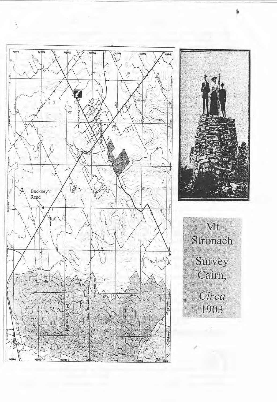



Mt Stronach Survey<br>Cairn, Circa 1903